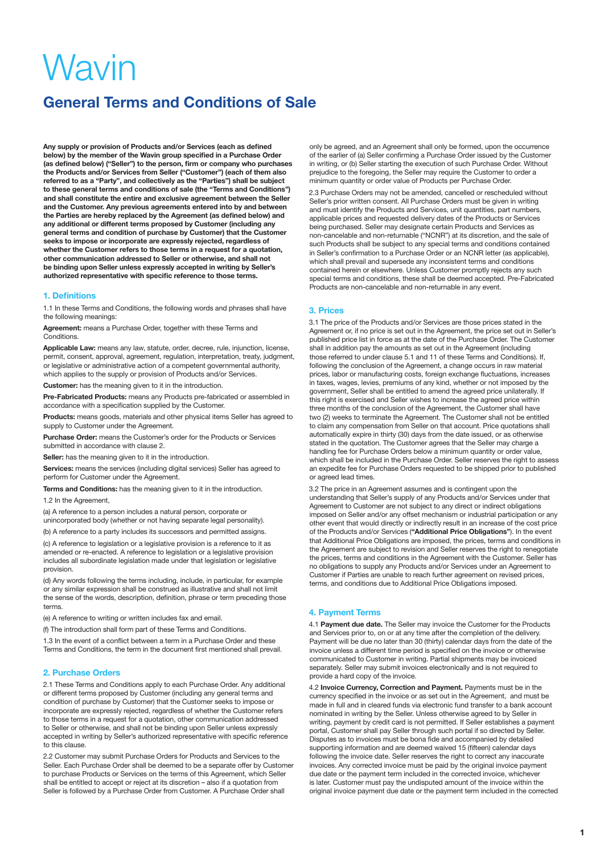## **General Terms and Conditions of Sale**

**Any supply or provision of Products and/or Services (each as defined below) by the member of the Wavin group specified in a Purchase Order (as defined below) ("Seller") to the person, firm or company who purchases the Products and/or Services from Seller ("Customer") (each of them also referred to as a "Party", and collectively as the "Parties") shall be subject to these general terms and conditions of sale (the "Terms and Conditions") and shall constitute the entire and exclusive agreement between the Seller and the Customer. Any previous agreements entered into by and between the Parties are hereby replaced by the Agreement (as defined below) and any additional or different terms proposed by Customer (including any general terms and condition of purchase by Customer) that the Customer seeks to impose or incorporate are expressly rejected, regardless of whether the Customer refers to those terms in a request for a quotation, other communication addressed to Seller or otherwise, and shall not be binding upon Seller unless expressly accepted in writing by Seller's authorized representative with specific reference to those terms.** 

#### **1. Definitions**

1.1 In these Terms and Conditions, the following words and phrases shall have the following meanings:

**Agreement:** means a Purchase Order, together with these Terms and Conditions.

**Applicable Law:** means any law, statute, order, decree, rule, injunction, license, permit, consent, approval, agreement, regulation, interpretation, treaty, judgment, or legislative or administrative action of a competent governmental authority, which applies to the supply or provision of Products and/or Services.

**Customer:** has the meaning given to it in the introduction.

**Pre-Fabricated Products:** means any Products pre-fabricated or assembled in accordance with a specification supplied by the Customer.

**Products:** means goods, materials and other physical items Seller has agreed to supply to Customer under the Agreement.

**Purchase Order:** means the Customer's order for the Products or Services submitted in accordance with clause 2.

**Seller:** has the meaning given to it in the introduction.

**Services:** means the services (including digital services) Seller has agreed to perform for Customer under the Agreement.

**Terms and Conditions:** has the meaning given to it in the introduction.

1.2 In the Agreement,

(a) A reference to a person includes a natural person, corporate or unincorporated body (whether or not having separate legal personality).

(b) A reference to a party includes its successors and permitted assigns.

(c) A reference to legislation or a legislative provision is a reference to it as amended or re-enacted. A reference to legislation or a legislative provision includes all subordinate legislation made under that legislation or legislative provision.

(d) Any words following the terms including, include, in particular, for example or any similar expression shall be construed as illustrative and shall not limit the sense of the words, description, definition, phrase or term preceding those terms.

(e) A reference to writing or written includes fax and email.

(f) The introduction shall form part of these Terms and Conditions.

1.3 In the event of a conflict between a term in a Purchase Order and these Terms and Conditions, the term in the document first mentioned shall prevail.

#### **2. Purchase Orders**

2.1 These Terms and Conditions apply to each Purchase Order. Any additional or different terms proposed by Customer (including any general terms and condition of purchase by Customer) that the Customer seeks to impose or incorporate are expressly rejected, regardless of whether the Customer refers to those terms in a request for a quotation, other communication addressed to Seller or otherwise, and shall not be binding upon Seller unless expressly accepted in writing by Seller's authorized representative with specific reference to this clause.

2.2 Customer may submit Purchase Orders for Products and Services to the Seller. Each Purchase Order shall be deemed to be a separate offer by Customer to purchase Products or Services on the terms of this Agreement, which Seller shall be entitled to accept or reject at its discretion – also if a quotation from Seller is followed by a Purchase Order from Customer. A Purchase Order shall

only be agreed, and an Agreement shall only be formed, upon the occurrence of the earlier of (a) Seller confirming a Purchase Order issued by the Customer in writing, or (b) Seller starting the execution of such Purchase Order. Without prejudice to the foregoing, the Seller may require the Customer to order a minimum quantity or order value of Products per Purchase Order.

2.3 Purchase Orders may not be amended, cancelled or rescheduled without Seller's prior written consent. All Purchase Orders must be given in writing and must identify the Products and Services, unit quantities, part numbers, applicable prices and requested delivery dates of the Products or Services being purchased. Seller may designate certain Products and Services as non-cancelable and non-returnable ("NCNR") at its discretion, and the sale of such Products shall be subject to any special terms and conditions contained in Seller's confirmation to a Purchase Order or an NCNR letter (as applicable), which shall prevail and supersede any inconsistent terms and conditions contained herein or elsewhere. Unless Customer promptly rejects any such special terms and conditions, these shall be deemed accepted. Pre-Fabricated Products are non-cancelable and non-returnable in any event.

#### **3. Prices**

3.1 The price of the Products and/or Services are those prices stated in the Agreement or, if no price is set out in the Agreement, the price set out in Seller's published price list in force as at the date of the Purchase Order. The Customer shall in addition pay the amounts as set out in the Agreement (including those referred to under clause 5.1 and 11 of these Terms and Conditions). If, following the conclusion of the Agreement, a change occurs in raw material prices, labor or manufacturing costs, foreign exchange fluctuations, increases in taxes, wages, levies, premiums of any kind, whether or not imposed by the government, Seller shall be entitled to amend the agreed price unilaterally. If this right is exercised and Seller wishes to increase the agreed price within three months of the conclusion of the Agreement, the Customer shall have two (2) weeks to terminate the Agreement. The Customer shall not be entitled to claim any compensation from Seller on that account. Price quotations shall automatically expire in thirty (30) days from the date issued, or as otherwise stated in the quotation. The Customer agrees that the Seller may charge a handling fee for Purchase Orders below a minimum quantity or order value, which shall be included in the Purchase Order. Seller reserves the right to assess an expedite fee for Purchase Orders requested to be shipped prior to published or agreed lead times.

3.2 The price in an Agreement assumes and is contingent upon the understanding that Seller's supply of any Products and/or Services under that Agreement to Customer are not subject to any direct or indirect obligations imposed on Seller and/or any offset mechanism or industrial participation or any other event that would directly or indirectly result in an increase of the cost price of the Products and/or Services (**"Additional Price Obligations"**). In the event that Additional Price Obligations are imposed, the prices, terms and conditions in the Agreement are subject to revision and Seller reserves the right to renegotiate the prices, terms and conditions in the Agreement with the Customer. Seller has no obligations to supply any Products and/or Services under an Agreement to Customer if Parties are unable to reach further agreement on revised prices, terms, and conditions due to Additional Price Obligations imposed.

#### **4. Payment Terms**

4.1 **Payment due date.** The Seller may invoice the Customer for the Products and Services prior to, on or at any time after the completion of the delivery. Payment will be due no later than 30 (thirty) calendar days from the date of the invoice unless a different time period is specified on the invoice or otherwise communicated to Customer in writing. Partial shipments may be invoiced separately. Seller may submit invoices electronically and is not required to provide a hard copy of the invoice.

4.2 **Invoice Currency, Correction and Payment.** Payments must be in the currency specified in the invoice or as set out in the Agreement, and must be made in full and in cleared funds via electronic fund transfer to a bank account nominated in writing by the Seller. Unless otherwise agreed to by Seller in writing, payment by credit card is not permitted. If Seller establishes a payment portal, Customer shall pay Seller through such portal if so directed by Seller. Disputes as to invoices must be bona fide and accompanied by detailed supporting information and are deemed waived 15 (fifteen) calendar days following the invoice date. Seller reserves the right to correct any inaccurate invoices. Any corrected invoice must be paid by the original invoice payment due date or the payment term included in the corrected invoice, whichever is later. Customer must pay the undisputed amount of the invoice within the original invoice payment due date or the payment term included in the corrected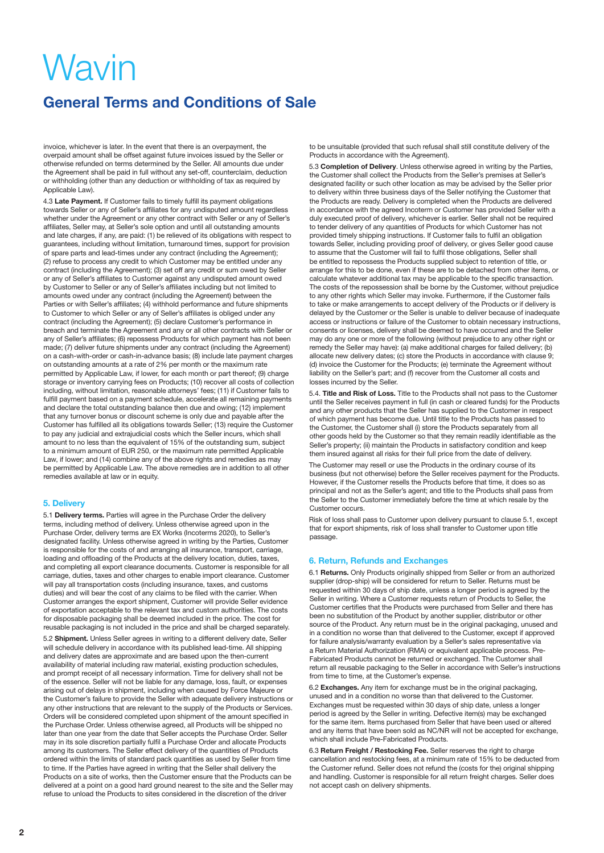# **General Terms and Conditions of Sale**

invoice, whichever is later. In the event that there is an overpayment, the overpaid amount shall be offset against future invoices issued by the Seller or otherwise refunded on terms determined by the Seller. All amounts due under the Agreement shall be paid in full without any set-off, counterclaim, deduction or withholding (other than any deduction or withholding of tax as required by Applicable Law).

4.3 **Late Payment.** If Customer fails to timely fulfill its payment obligations towards Seller or any of Seller's affiliates for any undisputed amount regardless whether under the Agreement or any other contract with Seller or any of Seller's affiliates, Seller may, at Seller's sole option and until all outstanding amounts and late charges, if any, are paid: (1) be relieved of its obligations with respect to guarantees, including without limitation, turnaround times, support for provision of spare parts and lead-times under any contract (including the Agreement); (2) refuse to process any credit to which Customer may be entitled under any contract (including the Agreement); (3) set off any credit or sum owed by Seller or any of Seller's affiliates to Customer against any undisputed amount owed by Customer to Seller or any of Seller's affiliates including but not limited to amounts owed under any contract (including the Agreement) between the Parties or with Seller's affiliates; (4) withhold performance and future shipments to Customer to which Seller or any of Seller's affiliates is obliged under any contract (including the Agreement); (5) declare Customer's performance in breach and terminate the Agreement and any or all other contracts with Seller or any of Seller's affiliates; (6) repossess Products for which payment has not been made; (7) deliver future shipments under any contract (including the Agreement) on a cash-with-order or cash-in-advance basis; (8) include late payment charges on outstanding amounts at a rate of 2% per month or the maximum rate permitted by Applicable Law, if lower, for each month or part thereof; (9) charge storage or inventory carrying fees on Products; (10) recover all costs of collection including, without limitation, reasonable attorneys' fees; (11) if Customer fails to fulfill payment based on a payment schedule, accelerate all remaining payments and declare the total outstanding balance then due and owing; (12) implement that any turnover bonus or discount scheme is only due and payable after the Customer has fulfilled all its obligations towards Seller; (13) require the Customer to pay any judicial and extrajudicial costs which the Seller incurs, which shall amount to no less than the equivalent of 15% of the outstanding sum, subject to a minimum amount of EUR 250, or the maximum rate permitted Applicable Law, if lower; and (14) combine any of the above rights and remedies as may be permitted by Applicable Law. The above remedies are in addition to all other remedies available at law or in equity.

## **5. Delivery**

5.1 **Delivery terms.** Parties will agree in the Purchase Order the delivery terms, including method of delivery. Unless otherwise agreed upon in the Purchase Order, delivery terms are EX Works (Incoterms 2020), to Seller's designated facility. Unless otherwise agreed in writing by the Parties, Customer is responsible for the costs of and arranging all insurance, transport, carriage, loading and offloading of the Products at the delivery location, duties, taxes, and completing all export clearance documents. Customer is responsible for all carriage, duties, taxes and other charges to enable import clearance. Customer will pay all transportation costs (including insurance, taxes, and customs duties) and will bear the cost of any claims to be filed with the carrier. When Customer arranges the export shipment, Customer will provide Seller evidence of exportation acceptable to the relevant tax and custom authorities. The costs for disposable packaging shall be deemed included in the price. The cost for reusable packaging is not included in the price and shall be charged separately.

5.2 **Shipment.** Unless Seller agrees in writing to a different delivery date, Seller will schedule delivery in accordance with its published lead-time. All shipping and delivery dates are approximate and are based upon the then-current availability of material including raw material, existing production schedules, and prompt receipt of all necessary information. Time for delivery shall not be of the essence. Seller will not be liable for any damage, loss, fault, or expenses arising out of delays in shipment, including when caused by Force Majeure or the Customer's failure to provide the Seller with adequate delivery instructions or any other instructions that are relevant to the supply of the Products or Services. Orders will be considered completed upon shipment of the amount specified in the Purchase Order. Unless otherwise agreed, all Products will be shipped no later than one year from the date that Seller accepts the Purchase Order. Seller may in its sole discretion partially fulfil a Purchase Order and allocate Products among its customers. The Seller effect delivery of the quantities of Products ordered within the limits of standard pack quantities as used by Seller from time to time. If the Parties have agreed in writing that the Seller shall delivery the Products on a site of works, then the Customer ensure that the Products can be delivered at a point on a good hard ground nearest to the site and the Seller may refuse to unload the Products to sites considered in the discretion of the driver

to be unsuitable (provided that such refusal shall still constitute delivery of the Products in accordance with the Agreement).

5.3 **Completion of Delivery**. Unless otherwise agreed in writing by the Parties, the Customer shall collect the Products from the Seller's premises at Seller's designated facility or such other location as may be advised by the Seller prior to delivery within three business days of the Seller notifying the Customer that the Products are ready. Delivery is completed when the Products are delivered in accordance with the agreed Incoterm or Customer has provided Seller with a duly executed proof of delivery, whichever is earlier. Seller shall not be required to tender delivery of any quantities of Products for which Customer has not provided timely shipping instructions. If Customer fails to fulfil an obligation towards Seller, including providing proof of delivery, or gives Seller good cause to assume that the Customer will fail to fulfil those obligations, Seller shall be entitled to repossess the Products supplied subject to retention of title, or arrange for this to be done, even if these are to be detached from other items, or calculate whatever additional tax may be applicable to the specific transaction. The costs of the repossession shall be borne by the Customer, without prejudice to any other rights which Seller may invoke. Furthermore, if the Customer fails to take or make arrangements to accept delivery of the Products or if delivery is delayed by the Customer or the Seller is unable to deliver because of inadequate access or instructions or failure of the Customer to obtain necessary instructions, consents or licenses, delivery shall be deemed to have occurred and the Seller may do any one or more of the following (without prejudice to any other right or remedy the Seller may have): (a) make additional charges for failed delivery; (b) allocate new delivery dates; (c) store the Products in accordance with clause 9; (d) invoice the Customer for the Products; (e) terminate the Agreement without liability on the Seller's part; and (f) recover from the Customer all costs and losses incurred by the Seller.

5.4. **Title and Risk of Loss.** Title to the Products shall not pass to the Customer until the Seller receives payment in full (in cash or cleared funds) for the Products and any other products that the Seller has supplied to the Customer in respect of which payment has become due. Until title to the Products has passed to the Customer, the Customer shall (i) store the Products separately from all other goods held by the Customer so that they remain readily identifiable as the Seller's property; (ii) maintain the Products in satisfactory condition and keep them insured against all risks for their full price from the date of delivery.

The Customer may resell or use the Products in the ordinary course of its business (but not otherwise) before the Seller receives payment for the Products. However, if the Customer resells the Products before that time, it does so as principal and not as the Seller's agent; and title to the Products shall pass from the Seller to the Customer immediately before the time at which resale by the Customer occurs.

Risk of loss shall pass to Customer upon delivery pursuant to clause 5.1, except that for export shipments, risk of loss shall transfer to Customer upon title passage.

## **6. Return, Refunds and Exchanges**

6.1 **Returns.** Only Products originally shipped from Seller or from an authorized supplier (drop-ship) will be considered for return to Seller. Returns must be requested within 30 days of ship date, unless a longer period is agreed by the Seller in writing. Where a Customer requests return of Products to Seller, the Customer certifies that the Products were purchased from Seller and there has been no substitution of the Product by another supplier, distributor or other source of the Product. Any return must be in the original packaging, unused and in a condition no worse than that delivered to the Customer, except if approved for failure analysis/warranty evaluation by a Seller's sales representative via a Return Material Authorization (RMA) or equivalent applicable process. Pre-Fabricated Products cannot be returned or exchanged. The Customer shall return all reusable packaging to the Seller in accordance with Seller's instructions from time to time, at the Customer's expense.

6.2 **Exchanges.** Any item for exchange must be in the original packaging, unused and in a condition no worse than that delivered to the Customer. Exchanges must be requested within 30 days of ship date, unless a longer period is agreed by the Seller in writing. Defective item(s) may be exchanged for the same item. Items purchased from Seller that have been used or altered and any items that have been sold as NC/NR will not be accepted for exchange, which shall include Pre-Fabricated Products.

6.3 **Return Freight / Restocking Fee.** Seller reserves the right to charge cancellation and restocking fees, at a minimum rate of 15% to be deducted from the Customer refund. Seller does not refund the (costs for the) original shipping and handling. Customer is responsible for all return freight charges. Seller does not accept cash on delivery shipments.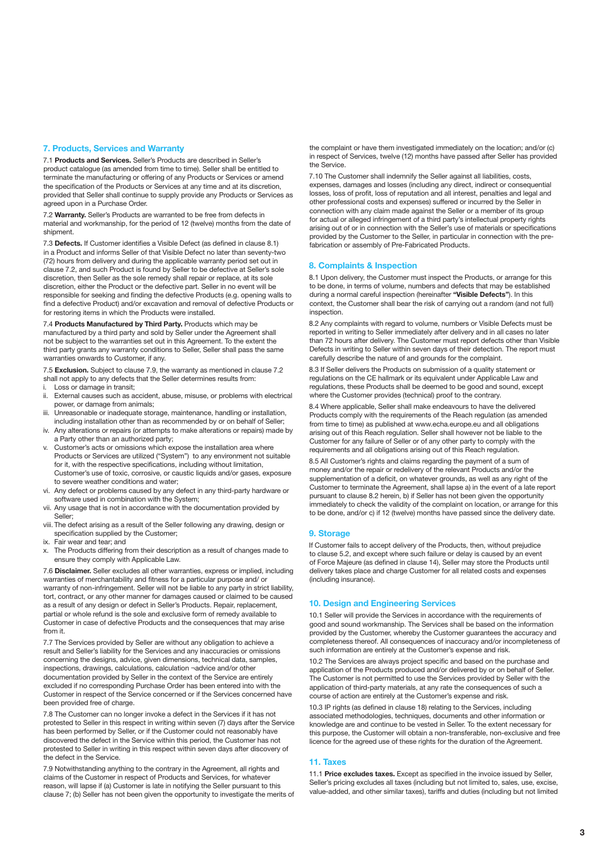### **7. Products, Services and Warranty**

7.1 **Products and Services.** Seller's Products are described in Seller's product catalogue (as amended from time to time). Seller shall be entitled to terminate the manufacturing or offering of any Products or Services or amend the specification of the Products or Services at any time and at its discretion, provided that Seller shall continue to supply provide any Products or Services as agreed upon in a Purchase Order.

7.2 **Warranty.** Seller's Products are warranted to be free from defects in material and workmanship, for the period of 12 (twelve) months from the date of shipment.

7.3 **Defects.** If Customer identifies a Visible Defect (as defined in clause 8.1) in a Product and informs Seller of that Visible Defect no later than seventy-two (72) hours from delivery and during the applicable warranty period set out in clause 7.2, and such Product is found by Seller to be defective at Seller's sole discretion, then Seller as the sole remedy shall repair or replace, at its sole discretion, either the Product or the defective part. Seller in no event will be responsible for seeking and finding the defective Products (e.g. opening walls to find a defective Product) and/or excavation and removal of defective Products or for restoring items in which the Products were installed.

7.4 **Products Manufactured by Third Party.** Products which may be manufactured by a third party and sold by Seller under the Agreement shall not be subject to the warranties set out in this Agreement. To the extent the third party grants any warranty conditions to Seller, Seller shall pass the same warranties onwards to Customer, if any.

7.5 **Exclusion.** Subject to clause 7.9, the warranty as mentioned in clause 7.2 shall not apply to any defects that the Seller determines results from:

- Loss or damage in transit; ii. External causes such as accident, abuse, misuse, or problems with electrical
- power, or damage from animals; iii. Unreasonable or inadequate storage, maintenance, handling or installation,
- including installation other than as recommended by or on behalf of Seller; iv. Any alterations or repairs (or attempts to make alterations or repairs) made by a Party other than an authorized party;
- v. Customer's acts or omissions which expose the installation area where Products or Services are utilized ("System") to any environment not suitable for it, with the respective specifications, including without limitation, Customer's use of toxic, corrosive, or caustic liquids and/or gases, exposure to severe weather conditions and water;
- vi. Any defect or problems caused by any defect in any third-party hardware or software used in combination with the System;
- vii. Any usage that is not in accordance with the documentation provided by Seller;
- viii. The defect arising as a result of the Seller following any drawing, design or specification supplied by the Customer;
- ix. Fair wear and tear; and
- x. The Products differing from their description as a result of changes made to ensure they comply with Applicable Law.

7.6 **Disclaimer.** Seller excludes all other warranties, express or implied, including warranties of merchantability and fitness for a particular purpose and/ or warranty of non-infringement. Seller will not be liable to any party in strict liability, tort, contract, or any other manner for damages caused or claimed to be caused as a result of any design or defect in Seller's Products. Repair, replacement, partial or whole refund is the sole and exclusive form of remedy available to Customer in case of defective Products and the consequences that may arise from it.

7.7 The Services provided by Seller are without any obligation to achieve a result and Seller's liability for the Services and any inaccuracies or omissions concerning the designs, advice, given dimensions, technical data, samples, inspections, drawings, calculations, calculation ¬advice and/or other documentation provided by Seller in the context of the Service are entirely excluded if no corresponding Purchase Order has been entered into with the Customer in respect of the Service concerned or if the Services concerned have been provided free of charge.

7.8 The Customer can no longer invoke a defect in the Services if it has not protested to Seller in this respect in writing within seven (7) days after the Service has been performed by Seller, or if the Customer could not reasonably have discovered the defect in the Service within this period, the Customer has not protested to Seller in writing in this respect within seven days after discovery of the defect in the Service.

7.9 Notwithstanding anything to the contrary in the Agreement, all rights and claims of the Customer in respect of Products and Services, for whatever reason, will lapse if (a) Customer is late in notifying the Seller pursuant to this clause 7; (b) Seller has not been given the opportunity to investigate the merits of

the complaint or have them investigated immediately on the location; and/or (c) in respect of Services, twelve (12) months have passed after Seller has provided the Service.

7.10 The Customer shall indemnify the Seller against all liabilities, costs, expenses, damages and losses (including any direct, indirect or consequential losses, loss of profit, loss of reputation and all interest, penalties and legal and other professional costs and expenses) suffered or incurred by the Seller in connection with any claim made against the Seller or a member of its group for actual or alleged infringement of a third party's intellectual property rights arising out of or in connection with the Seller's use of materials or specifications provided by the Customer to the Seller, in particular in connection with the prefabrication or assembly of Pre-Fabricated Products.

#### **8. Complaints & Inspection**

8.1 Upon delivery, the Customer must inspect the Products, or arrange for this to be done, in terms of volume, numbers and defects that may be established during a normal careful inspection (hereinafter **"Visible Defects"**). In this context, the Customer shall bear the risk of carrying out a random (and not full) inspection.

8.2 Any complaints with regard to volume, numbers or Visible Defects must be reported in writing to Seller immediately after delivery and in all cases no later than 72 hours after delivery. The Customer must report defects other than Visible Defects in writing to Seller within seven days of their detection. The report must carefully describe the nature of and grounds for the complaint.

8.3 If Seller delivers the Products on submission of a quality statement or regulations on the CE hallmark or its equivalent under Applicable Law and regulations, these Products shall be deemed to be good and sound, except where the Customer provides (technical) proof to the contrary.

8.4 Where applicable, Seller shall make endeavours to have the delivered Products comply with the requirements of the Reach regulation (as amended from time to time) as published at www.echa.europe.eu and all obligations arising out of this Reach regulation. Seller shall however not be liable to the Customer for any failure of Seller or of any other party to comply with the requirements and all obligations arising out of this Reach regulation.

8.5 All Customer's rights and claims regarding the payment of a sum of money and/or the repair or redelivery of the relevant Products and/or the supplementation of a deficit, on whatever grounds, as well as any right of the Customer to terminate the Agreement, shall lapse a) in the event of a late report pursuant to clause 8.2 herein, b) if Seller has not been given the opportunity immediately to check the validity of the complaint on location, or arrange for this to be done, and/or c) if 12 (twelve) months have passed since the delivery date.

#### **9. Storage**

If Customer fails to accept delivery of the Products, then, without prejudice to clause 5.2, and except where such failure or delay is caused by an event of Force Majeure (as defined in clause 14), Seller may store the Products until delivery takes place and charge Customer for all related costs and expenses (including insurance).

### **10. Design and Engineering Services**

10.1 Seller will provide the Services in accordance with the requirements of good and sound workmanship. The Services shall be based on the information provided by the Customer, whereby the Customer guarantees the accuracy and completeness thereof. All consequences of inaccuracy and/or incompleteness of such information are entirely at the Customer's expense and risk.

10.2 The Services are always project specific and based on the purchase and application of the Products produced and/or delivered by or on behalf of Seller. The Customer is not permitted to use the Services provided by Seller with the application of third-party materials, at any rate the consequences of such a course of action are entirely at the Customer's expense and risk.

10.3 IP rights (as defined in clause 18) relating to the Services, including associated methodologies, techniques, documents and other information or knowledge are and continue to be vested in Seller. To the extent necessary for this purpose, the Customer will obtain a non-transferable, non-exclusive and free licence for the agreed use of these rights for the duration of the Agreement.

#### **11. Taxes**

11.1 **Price excludes taxes.** Except as specified in the invoice issued by Seller, Seller's pricing excludes all taxes (including but not limited to, sales, use, excise, value-added, and other similar taxes), tariffs and duties (including but not limited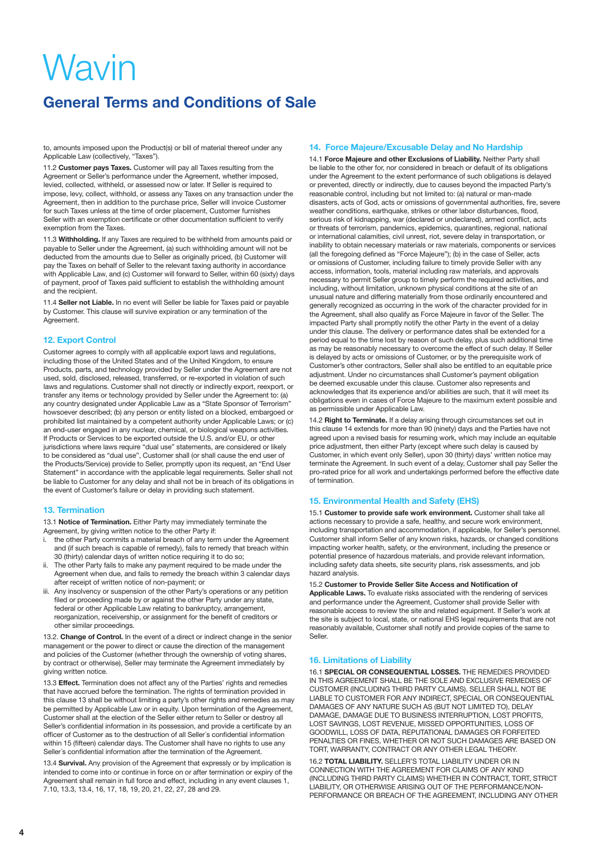# **General Terms and Conditions of Sale**

to, amounts imposed upon the Product(s) or bill of material thereof under any Applicable Law (collectively, "Taxes").

11.2 **Customer pays Taxes.** Customer will pay all Taxes resulting from the Agreement or Seller's performance under the Agreement, whether imposed, levied, collected, withheld, or assessed now or later. If Seller is required to impose, levy, collect, withhold, or assess any Taxes on any transaction under the Agreement, then in addition to the purchase price, Seller will invoice Custome for such Taxes unless at the time of order placement, Customer furnishes Seller with an exemption certificate or other documentation sufficient to verify exemption from the Taxes.

11.3 **Withholding.** If any Taxes are required to be withheld from amounts paid or payable to Seller under the Agreement, (a) such withholding amount will not be deducted from the amounts due to Seller as originally priced, (b) Customer will pay the Taxes on behalf of Seller to the relevant taxing authority in accordance with Applicable Law, and (c) Customer will forward to Seller, within 60 (sixty) days of payment, proof of Taxes paid sufficient to establish the withholding amount and the recipient.

11.4 **Seller not Liable.** In no event will Seller be liable for Taxes paid or payable by Customer. This clause will survive expiration or any termination of the Agreement.

#### **12. Export Control**

Customer agrees to comply with all applicable export laws and regulations, including those of the United States and of the United Kingdom, to ensure Products, parts, and technology provided by Seller under the Agreement are not used, sold, disclosed, released, transferred, or re-exported in violation of such laws and regulations. Customer shall not directly or indirectly export, reexport, or transfer any items or technology provided by Seller under the Agreement to: (a) any country designated under Applicable Law as a "State Sponsor of Terrorism" howsoever described; (b) any person or entity listed on a blocked, embargoed or prohibited list maintained by a competent authority under Applicable Laws; or (c) an end-user engaged in any nuclear, chemical, or biological weapons activities. If Products or Services to be exported outside the U.S. and/or EU, or other jurisdictions where laws require "dual use" statements, are considered or likely to be considered as "dual use", Customer shall (or shall cause the end user of the Products/Service) provide to Seller, promptly upon its request, an "End User Statement" in accordance with the applicable legal requirements. Seller shall not be liable to Customer for any delay and shall not be in breach of its obligations in the event of Customer's failure or delay in providing such statement.

#### **13. Termination**

13.1 **Notice of Termination.** Either Party may immediately terminate the Agreement, by giving written notice to the other Party if:

- the other Party commits a material breach of any term under the Agreement and (if such breach is capable of remedy), fails to remedy that breach within 30 (thirty) calendar days of written notice requiring it to do so;
- ii. The other Party fails to make any payment required to be made under the Agreement when due, and fails to remedy the breach within 3 calendar days after receipt of written notice of non-payment; or
- Any insolvency or suspension of the other Party's operations or any petition filed or proceeding made by or against the other Party under any state, federal or other Applicable Law relating to bankruptcy, arrangement, reorganization, receivership, or assignment for the benefit of creditors or other similar proceedings.

13.2. **Change of Control.** In the event of a direct or indirect change in the senior management or the power to direct or cause the direction of the management and policies of the Customer (whether through the ownership of voting shares, by contract or otherwise), Seller may terminate the Agreement immediately by giving written notice.

13.3 **Effect.** Termination does not affect any of the Parties' rights and remedies that have accrued before the termination. The rights of termination provided in this clause 13 shall be without limiting a party's other rights and remedies as may be permitted by Applicable Law or in equity. Upon termination of the Agreement, Customer shall at the election of the Seller either return to Seller or destroy all Seller's confidential information in its possession, and provide a certificate by an officer of Customer as to the destruction of all Seller´s confidential information within 15 (fifteen) calendar days. The Customer shall have no rights to use any Seller´s confidential information after the termination of the Agreement.

13.4 **Survival.** Any provision of the Agreement that expressly or by implication is intended to come into or continue in force on or after termination or expiry of the Agreement shall remain in full force and effect, including in any event clauses 1, 7.10, 13.3, 13.4, 16, 17, 18, 19, 20, 21, 22, 27, 28 and 29.

#### **14. Force Majeure/Excusable Delay and No Hardship**

14.1 **Force Majeure and other Exclusions of Liability.** Neither Party shall be liable to the other for, nor considered in breach or default of its obligations under the Agreement to the extent performance of such obligations is delayed or prevented, directly or indirectly, due to causes beyond the impacted Party's reasonable control, including but not limited to: (a) natural or man-made disasters, acts of God, acts or omissions of governmental authorities, fire, severe weather conditions, earthquake, strikes or other labor disturbances, flood, serious risk of kidnapping, war (declared or undeclared), armed conflict, acts or threats of terrorism, pandemics, epidemics, quarantines, regional, national or international calamities, civil unrest, riot, severe delay in transportation, or inability to obtain necessary materials or raw materials, components or services (all the foregoing defined as "Force Majeure"); (b) in the case of Seller, acts or omissions of Customer, including failure to timely provide Seller with any access, information, tools, material including raw materials, and approvals necessary to permit Seller group to timely perform the required activities, and including, without limitation, unknown physical conditions at the site of an unusual nature and differing materially from those ordinarily encountered and generally recognized as occurring in the work of the character provided for in the Agreement, shall also qualify as Force Majeure in favor of the Seller. The impacted Party shall promptly notify the other Party in the event of a delay under this clause. The delivery or performance dates shall be extended for a period equal to the time lost by reason of such delay, plus such additional time as may be reasonably necessary to overcome the effect of such delay. If Seller is delayed by acts or omissions of Customer, or by the prerequisite work of Customer's other contractors, Seller shall also be entitled to an equitable price adjustment. Under no circumstances shall Customer's payment obligation be deemed excusable under this clause. Customer also represents and acknowledges that its experience and/or abilities are such, that it will meet its obligations even in cases of Force Majeure to the maximum extent possible and as permissible under Applicable Law.

14.2 **Right to Terminate.** If a delay arising through circumstances set out in this clause 14 extends for more than 90 (ninety) days and the Parties have not agreed upon a revised basis for resuming work, which may include an equitable price adjustment, then either Party (except where such delay is caused by Customer, in which event only Seller), upon 30 (thirty) days' written notice may terminate the Agreement. In such event of a delay, Customer shall pay Seller the pro-rated price for all work and undertakings performed before the effective date of termination.

#### **15. Environmental Health and Safety (EHS)**

15.1 **Customer to provide safe work environment.** Customer shall take all actions necessary to provide a safe, healthy, and secure work environment, including transportation and accommodation, if applicable, for Seller's personnel. Customer shall inform Seller of any known risks, hazards, or changed conditions impacting worker health, safety, or the environment, including the presence or potential presence of hazardous materials, and provide relevant information, including safety data sheets, site security plans, risk assessments, and job hazard analysis.

15.2 **Customer to Provide Seller Site Access and Notification of Applicable Laws.** To evaluate risks associated with the rendering of services and performance under the Agreement, Customer shall provide Seller with reasonable access to review the site and related equipment. If Seller's work at the site is subject to local, state, or national EHS legal requirements that are not reasonably available, Customer shall notify and provide copies of the same to Seller.

### **16. Limitations of Liability**

16.1 **SPECIAL OR CONSEQUENTIAL LOSSES.** THE REMEDIES PROVIDED IN THIS AGREEMENT SHALL BE THE SOLE AND EXCLUSIVE REMEDIES OF CUSTOMER (INCLUDING THIRD PARTY CLAIMS). SELLER SHALL NOT BE LIABLE TO CUSTOMER FOR ANY INDIRECT, SPECIAL OR CONSEQUENTIAL DAMAGES OF ANY NATURE SUCH AS (BUT NOT LIMITED TO), DELAY DAMAGE, DAMAGE DUE TO BUSINESS INTERRUPTION, LOST PROFITS, LOST SAVINGS, LOST REVENUE, MISSED OPPORTUNITIES, LOSS OF GOODWILL, LOSS OF DATA, REPUTATIONAL DAMAGES OR FORFEITED PENALTIES OR FINES, WHETHER OR NOT SUCH DAMAGES ARE BASED ON TORT, WARRANTY, CONTRACT OR ANY OTHER LEGAL THEORY.

16.2 **TOTAL LIABILITY.** SELLER'S TOTAL LIABILITY UNDER OR IN CONNECTION WITH THE AGREEMENT FOR CLAIMS OF ANY KIND (INCLUDING THIRD PARTY CLAIMS) WHETHER IN CONTRACT, TORT, STRICT LIABILITY, OR OTHERWISE ARISING OUT OF THE PERFORMANCE/NON-PERFORMANCE OR BREACH OF THE AGREEMENT, INCLUDING ANY OTHER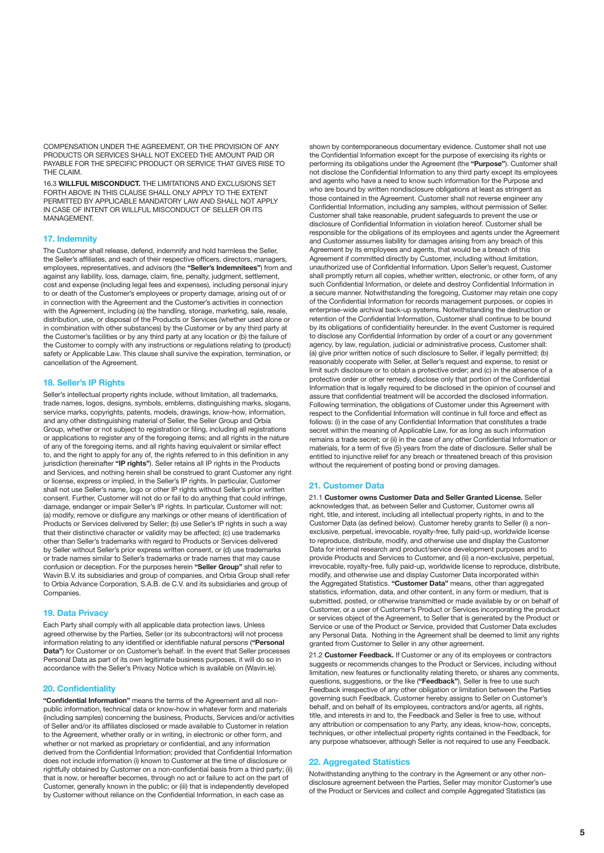COMPENSATION UNDER THE AGREEMENT, OR THE PROVISION OF ANY PRODUCTS OR SERVICES SHALL NOT EXCEED THE AMOUNT PAID OR PAYABLE FOR THE SPECIFIC PRODUCT OR SERVICE THAT GIVES RISE TO THE CLAIM.

16.3 **WILLFUL MISCONDUCT.** THE LIMITATIONS AND EXCLUSIONS SET FORTH ABOVE IN THIS CLAUSE SHALL ONLY APPLY TO THE EXTENT PERMITTED BY APPLICABLE MANDATORY LAW AND SHALL NOT APPLY IN CASE OF INTENT OR WILLFUL MISCONDUCT OF SELLER OR ITS MANAGEMENT.

#### **17. Indemnity**

The Customer shall release, defend, indemnify and hold harmless the Seller, the Seller's affiliates, and each of their respective officers, directors, managers, employees, representatives, and advisors (the **"Seller's Indemnitees"**) from and against any liability, loss, damage, claim, fine, penalty, judgment, settlement, cost and expense (including legal fees and expenses), including personal injury to or death of the Customer's employees or property damage, arising out of or in connection with the Agreement and the Customer's activities in connection with the Agreement, including (a) the handling, storage, marketing, sale, resale, distribution, use, or disposal of the Products or Services (whether used alone or in combination with other substances) by the Customer or by any third party at the Customer's facilities or by any third party at any location or (b) the failure of the Customer to comply with any instructions or regulations relating to (product) safety or Applicable Law. This clause shall survive the expiration, termination, or cancellation of the Agreement.

#### **18. Seller's IP Rights**

Seller's intellectual property rights include, without limitation, all trademarks, trade names, logos, designs, symbols, emblems, distinguishing marks, slogans, service marks, copyrights, patents, models, drawings, know-how, information, and any other distinguishing material of Seller, the Seller Group and Orbia Group, whether or not subject to registration or filing, including all registrations or applications to register any of the foregoing items; and all rights in the nature of any of the foregoing items, and all rights having equivalent or similar effect to, and the right to apply for any of, the rights referred to in this definition in any jurisdiction (hereinafter **"IP rights"**). Seller retains all IP rights in the Products and Services, and nothing herein shall be construed to grant Customer any right or license, express or implied, in the Seller's IP rights. In particular, Customer shall not use Seller's name, logo or other IP rights without Seller's prior written consent. Further, Customer will not do or fail to do anything that could infringe, damage, endanger or impair Seller's IP rights. In particular, Customer will not: (a) modify, remove or disfigure any markings or other means of identification of Products or Services delivered by Seller; (b) use Seller's IP rights in such a way that their distinctive character or validity may be affected; (c) use trademarks other than Seller's trademarks with regard to Products or Services delivered by Seller without Seller's prior express written consent, or (d) use trademarks or trade names similar to Seller's trademarks or trade names that may cause confusion or deception. For the purposes herein **"Seller Group"** shall refer to Wavin B.V. its subsidiaries and group of companies, and Orbia Group shall refer to Orbia Advance Corporation, S.A.B. de C.V. and its subsidiaries and group of Companies.

#### **19. Data Privacy**

Each Party shall comply with all applicable data protection laws. Unless agreed otherwise by the Parties, Seller (or its subcontractors) will not process information relating to any identified or identifiable natural persons (**"Personal Data**") for Customer or on Customer's behalf. In the event that Seller processes Personal Data as part of its own legitimate business purposes, it will do so in accordance with the Seller's Privacy Notice which is available on (Wavin.ie).

#### **20. Confidentiality**

**"Confidential Information"** means the terms of the Agreement and all nonpublic information, technical data or know-how in whatever form and materials (including samples) concerning the business, Products, Services and/or activities of Seller and/or its affiliates disclosed or made available to Customer in relation to the Agreement, whether orally or in writing, in electronic or other form, and whether or not marked as proprietary or confidential, and any information derived from the Confidential Information; provided that Confidential Information does not include information (i) known to Customer at the time of disclosure or rightfully obtained by Customer on a non-confidential basis from a third party; (ii) that is now, or hereafter becomes, through no act or failure to act on the part of Customer, generally known in the public; or (iii) that is independently developed by Customer without reliance on the Confidential Information, in each case as

shown by contemporaneous documentary evidence. Customer shall not use the Confidential Information except for the purpose of exercising its rights or performing its obligations under the Agreement (the **"Purpose"**). Customer shall not disclose the Confidential Information to any third party except its employees and agents who have a need to know such information for the Purpose and who are bound by written nondisclosure obligations at least as stringent as those contained in the Agreement. Customer shall not reverse engineer any Confidential Information, including any samples, without permission of Seller. Customer shall take reasonable, prudent safeguards to prevent the use or disclosure of Confidential Information in violation hereof. Customer shall be responsible for the obligations of its employees and agents under the Agreement and Customer assumes liability for damages arising from any breach of this Agreement by its employees and agents, that would be a breach of this Agreement if committed directly by Customer, including without limitation, unauthorized use of Confidential Information. Upon Seller's request, Customer shall promptly return all copies, whether written, electronic, or other form, of any such Confidential Information, or delete and destroy Confidential Information in a secure manner. Notwithstanding the foregoing, Customer may retain one copy of the Confidential Information for records management purposes, or copies in enterprise-wide archival back-up systems. Notwithstanding the destruction or retention of the Confidential Information, Customer shall continue to be bound by its obligations of confidentiality hereunder. In the event Customer is required to disclose any Confidential Information by order of a court or any government agency, by law, regulation, judicial or administrative process, Customer shall: (a) give prior written notice of such disclosure to Seller, if legally permitted; (b) reasonably cooperate with Seller, at Seller's request and expense, to resist or limit such disclosure or to obtain a protective order; and (c) in the absence of a protective order or other remedy, disclose only that portion of the Confidential Information that is legally required to be disclosed in the opinion of counsel and assure that confidential treatment will be accorded the disclosed information. Following termination, the obligations of Customer under this Agreement with respect to the Confidential Information will continue in full force and effect as follows: (i) in the case of any Confidential Information that constitutes a trade secret within the meaning of Applicable Law, for as long as such information remains a trade secret; or (ii) in the case of any other Confidential Information or materials, for a term of five (5) years from the date of disclosure. Seller shall be entitled to injunctive relief for any breach or threatened breach of this provision without the requirement of posting bond or proving damages.

#### **21. Customer Data**

21.1 **Customer owns Customer Data and Seller Granted License.** Seller acknowledges that, as between Seller and Customer, Customer owns all right, title, and interest, including all intellectual property rights, in and to the Customer Data (as defined below). Customer hereby grants to Seller (i) a nonexclusive, perpetual, irrevocable, royalty-free, fully paid-up, worldwide license to reproduce, distribute, modify, and otherwise use and display the Customer Data for internal research and product/service development purposes and to provide Products and Services to Customer, and (ii) a non-exclusive, perpetual, irrevocable, royalty-free, fully paid-up, worldwide license to reproduce, distribute, modify, and otherwise use and display Customer Data incorporated within the Aggregated Statistics. **"Customer Data"** means, other than aggregated statistics, information, data, and other content, in any form or medium, that is submitted, posted, or otherwise transmitted or made available by or on behalf of Customer, or a user of Customer's Product or Services incorporating the product or services object of the Agreement, to Seller that is generated by the Product or Service or use of the Product or Service, provided that Customer Data excludes any Personal Data. Nothing in the Agreement shall be deemed to limit any rights granted from Customer to Seller in any other agreement.

21.2 **Customer Feedback.** If Customer or any of its employees or contractors suggests or recommends changes to the Product or Services, including without limitation, new features or functionality relating thereto, or shares any comments, questions, suggestions, or the like (**"Feedback"**), Seller is free to use such Feedback irrespective of any other obligation or limitation between the Parties governing such Feedback. Customer hereby assigns to Seller on Customer's behalf, and on behalf of its employees, contractors and/or agents, all rights, title, and interests in and to, the Feedback and Seller is free to use, without any attribution or compensation to any Party, any ideas, know-how, concepts, techniques, or other intellectual property rights contained in the Feedback, for any purpose whatsoever, although Seller is not required to use any Feedback.

### **22. Aggregated Statistics**

Notwithstanding anything to the contrary in the Agreement or any other nondisclosure agreement between the Parties, Seller may monitor Customer's use of the Product or Services and collect and compile Aggregated Statistics (as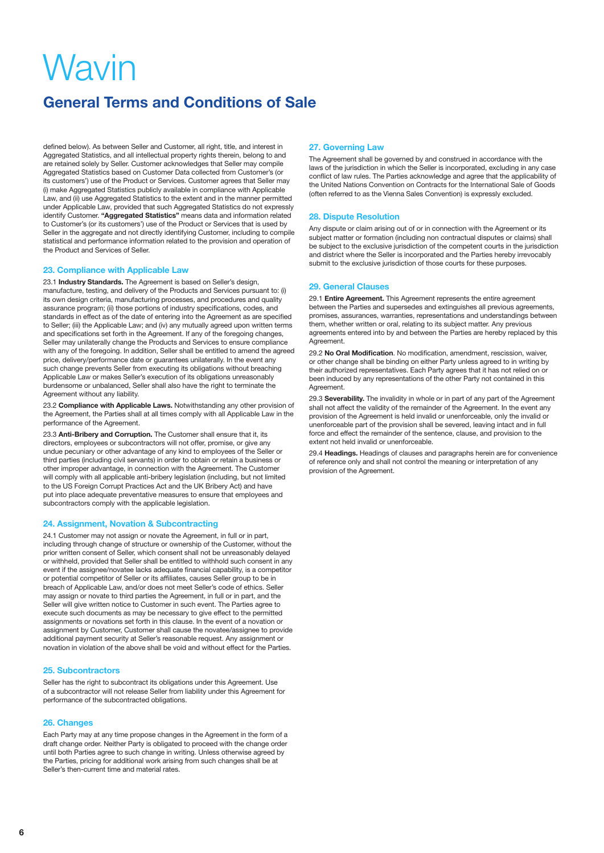# **General Terms and Conditions of Sale**

defined below). As between Seller and Customer, all right, title, and interest in Aggregated Statistics, and all intellectual property rights therein, belong to and are retained solely by Seller. Customer acknowledges that Seller may compile Aggregated Statistics based on Customer Data collected from Customer's (or its customers') use of the Product or Services. Customer agrees that Seller may (i) make Aggregated Statistics publicly available in compliance with Applicable Law, and (ii) use Aggregated Statistics to the extent and in the manner permitted under Applicable Law, provided that such Aggregated Statistics do not expressly identify Customer. **"Aggregated Statistics"** means data and information related to Customer's (or its customers') use of the Product or Services that is used by Seller in the aggregate and not directly identifying Customer, including to compile statistical and performance information related to the provision and operation of the Product and Services of Seller.

#### **23. Compliance with Applicable Law**

23.1 **Industry Standards.** The Agreement is based on Seller's design, manufacture, testing, and delivery of the Products and Services pursuant to: (i) its own design criteria, manufacturing processes, and procedures and quality assurance program; (ii) those portions of industry specifications, codes, and standards in effect as of the date of entering into the Agreement as are specified to Seller; (iii) the Applicable Law; and (iv) any mutually agreed upon written terms and specifications set forth in the Agreement. If any of the foregoing changes, Seller may unilaterally change the Products and Services to ensure compliance with any of the foregoing. In addition, Seller shall be entitled to amend the agreed price, delivery/performance date or guarantees unilaterally. In the event any such change prevents Seller from executing its obligations without breaching Applicable Law or makes Seller's execution of its obligations unreasonably burdensome or unbalanced, Seller shall also have the right to terminate the Agreement without any liability.

23.2 **Compliance with Applicable Laws.** Notwithstanding any other provision of the Agreement, the Parties shall at all times comply with all Applicable Law in the performance of the Agreement.

23.3 **Anti-Bribery and Corruption.** The Customer shall ensure that it, its directors, employees or subcontractors will not offer, promise, or give any undue pecuniary or other advantage of any kind to employees of the Seller or third parties (including civil servants) in order to obtain or retain a business or other improper advantage, in connection with the Agreement. The Customer will comply with all applicable anti-bribery legislation (including, but not limited to the US Foreign Corrupt Practices Act and the UK Bribery Act) and have put into place adequate preventative measures to ensure that employees and subcontractors comply with the applicable legislation.

#### **24. Assignment, Novation & Subcontracting**

24.1 Customer may not assign or novate the Agreement, in full or in part, including through change of structure or ownership of the Customer, without the prior written consent of Seller, which consent shall not be unreasonably delayed or withheld, provided that Seller shall be entitled to withhold such consent in any event if the assignee/novatee lacks adequate financial capability, is a competitor or potential competitor of Seller or its affiliates, causes Seller group to be in breach of Applicable Law, and/or does not meet Seller's code of ethics. Seller may assign or novate to third parties the Agreement, in full or in part, and the Seller will give written notice to Customer in such event. The Parties agree to execute such documents as may be necessary to give effect to the permitted assignments or novations set forth in this clause. In the event of a novation or assignment by Customer, Customer shall cause the novatee/assignee to provide additional payment security at Seller's reasonable request. Any assignment or novation in violation of the above shall be void and without effect for the Parties.

#### **25. Subcontractors**

Seller has the right to subcontract its obligations under this Agreement. Use of a subcontractor will not release Seller from liability under this Agreement for performance of the subcontracted obligations.

#### **26. Changes**

Each Party may at any time propose changes in the Agreement in the form of a draft change order. Neither Party is obligated to proceed with the change order until both Parties agree to such change in writing. Unless otherwise agreed by the Parties, pricing for additional work arising from such changes shall be at Seller's then-current time and material rates.

#### **27. Governing Law**

The Agreement shall be governed by and construed in accordance with the laws of the jurisdiction in which the Seller is incorporated, excluding in any case conflict of law rules. The Parties acknowledge and agree that the applicability of the United Nations Convention on Contracts for the International Sale of Goods (often referred to as the Vienna Sales Convention) is expressly excluded.

#### **28. Dispute Resolution**

Any dispute or claim arising out of or in connection with the Agreement or its subject matter or formation (including non contractual disputes or claims) shall be subject to the exclusive jurisdiction of the competent courts in the jurisdiction and district where the Seller is incorporated and the Parties hereby irrevocably submit to the exclusive jurisdiction of those courts for these purposes.

#### **29. General Clauses**

29.1 **Entire Agreement.** This Agreement represents the entire agreement between the Parties and supersedes and extinguishes all previous agreements, promises, assurances, warranties, representations and understandings between them, whether written or oral, relating to its subject matter. Any previous agreements entered into by and between the Parties are hereby replaced by this Agreement.

29.2 **No Oral Modification**. No modification, amendment, rescission, waiver, or other change shall be binding on either Party unless agreed to in writing by their authorized representatives. Each Party agrees that it has not relied on or been induced by any representations of the other Party not contained in this Agreement.

29.3 **Severability.** The invalidity in whole or in part of any part of the Agreement shall not affect the validity of the remainder of the Agreement. In the event any provision of the Agreement is held invalid or unenforceable, only the invalid or unenforceable part of the provision shall be severed, leaving intact and in full force and effect the remainder of the sentence, clause, and provision to the extent not held invalid or unenforceable.

29.4 **Headings.** Headings of clauses and paragraphs herein are for convenience of reference only and shall not control the meaning or interpretation of any provision of the Agreement.